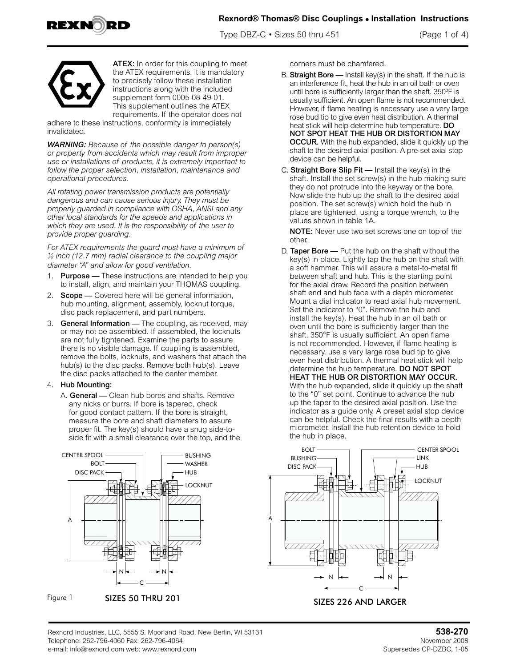

Type DBZ-C • Sizes 50 thru 451 (Page 1 of 4)



ATEX: In order for this coupling to meet the ATEX requirements, it is mandatory to precisely follow these installation instructions along with the included supplement form 0005-08-49-01. This supplement outlines the ATEX requirements. If the operator does not

adhere to these instructions, conformity is immediately invalidated.

*WARNING: Because of the possible danger to person(s) or property from accidents which may result from improper use or installations of products, it is extremely important to follow the proper selection, installation, maintenance and operational procedures.* 

*All rotating power transmission products are potentially dangerous and can cause serious injury. They must be properly guarded in compliance with OSHA, ANSI and any other local standards for the speeds and applications in which they are used. It is the responsibility of the user to provide proper guarding.*

*For ATEX requirements the guard must have a minimum of ½ inch (12.7 mm) radial clearance to the coupling major diameter "A" and allow for good ventilation.*

- 1. Purpose These instructions are intended to help you to install, align, and maintain your THOMAS coupling.
- 2. Scope Covered here will be general information, hub mounting, alignment, assembly, locknut torque, disc pack replacement, and part numbers.
- 3. General Information The coupling, as received, may or may not be assembled. If assembled, the locknuts are not fully tightened. Examine the parts to assure there is no visible damage. If coupling is assembled, remove the bolts, locknuts, and washers that attach the hub(s) to the disc packs. Remove both hub(s). Leave the disc packs attached to the center member.

### 4. Hub Mounting:

A. General — Clean hub bores and shafts. Remove any nicks or burrs. If bore is tapered, check for good contact pattern. If the bore is straight, measure the bore and shaft diameters to assure proper fit. The key(s) should have a snug side-toside fit with a small clearance over the top, and the



Figure 1



corners must be chamfered.

- B. Straight Bore  $-$  Install key(s) in the shaft. If the hub is an interference fit, heat the hub in an oil bath or oven until bore is sufficiently larger than the shaft. 350ºF is usually sufficient. An open flame is not recommended. However, if flame heating is necessary use a very large rose bud tip to give even heat distribution. A thermal heat stick will help determine hub temperature. DO NOT SPOT HEAT THE HUB OR DISTORTION MAY OCCUR. With the hub expanded, slide it quickly up the shaft to the desired axial position. A pre-set axial stop device can be helpful.
- C. Straight Bore Slip  $Fit$  Install the key(s) in the shaft. Install the set screw(s) in the hub making sure they do not protrude into the keyway or the bore. Now slide the hub up the shaft to the desired axial position. The set screw(s) which hold the hub in place are tightened, using a torque wrench, to the values shown in table 1A.

NOTE: Never use two set screws one on top of the other.

D. Taper Bore - Put the hub on the shaft without the key(s) in place. Lightly tap the hub on the shaft with a soft hammer. This will assure a metal-to-metal fit between shaft and hub. This is the starting point for the axial draw. Record the position between shaft end and hub face with a depth micrometer. Mount a dial indicator to read axial hub movement. Set the indicator to "0". Remove the hub and install the key(s). Heat the hub in an oil bath or oven until the bore is sufficiently larger than the shaft. 350°F is usually sufficient. An open flame is not recommended. However, if flame heating is necessary, use a very large rose bud tip to give even heat distribution. A thermal heat stick will help determine the hub temperature. DO NOT SPOT HEAT THE HUB OR DISTORTION MAY OCCUR. With the hub expanded, slide it quickly up the shaft to the "0" set point. Continue to advance the hub up the taper to the desired axial position. Use the indicator as a guide only. A preset axial stop device can be helpful. Check the final results with a depth micrometer. Install the hub retention device to hold the hub in place.



SIZES 50 THRU 201 SIZES 226 AND LARGER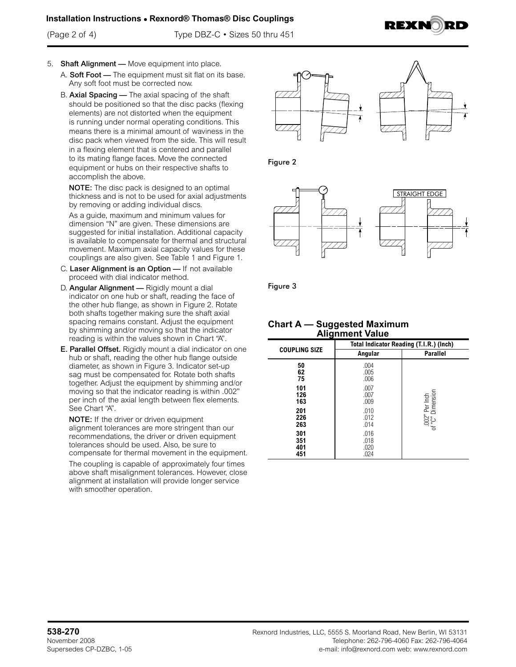### **Installation Instructions • Rexnord® Thomas® Disc Couplings**

(Page 2 of 4) Type DBZ-C • Sizes 50 thru 451



- 5. Shaft Alignment Move equipment into place.
	- A. Soft Foot The equipment must sit flat on its base. Any soft foot must be corrected now.
	- B. Axial Spacing The axial spacing of the shaft should be positioned so that the disc packs (flexing elements) are not distorted when the equipment is running under normal operating conditions. This means there is a minimal amount of waviness in the disc pack when viewed from the side. This will result in a flexing element that is centered and parallel to its mating flange faces. Move the connected equipment or hubs on their respective shafts to accomplish the above.

NOTE: The disc pack is designed to an optimal thickness and is not to be used for axial adjustments by removing or adding individual discs.

As a guide, maximum and minimum values for dimension "N" are given. These dimensions are suggested for initial installation. Additional capacity is available to compensate for thermal and structural movement. Maximum axial capacity values for these couplings are also given. See Table 1 and Figure 1.

- C. Laser Alignment is an Option If not available proceed with dial indicator method.
- D. Angular Alignment Rigidly mount a dial indicator on one hub or shaft, reading the face of the other hub flange, as shown in Figure 2. Rotate both shafts together making sure the shaft axial spacing remains constant. Adjust the equipment by shimming and/or moving so that the indicator reading is within the values shown in Chart "A".
- E. Parallel Offset. Rigidly mount a dial indicator on one hub or shaft, reading the other hub flange outside diameter, as shown in Figure 3. Indicator set-up sag must be compensated for. Rotate both shafts together. Adjust the equipment by shimming and/or moving so that the indicator reading is within .002" per inch of the axial length between flex elements. See Chart "A".

NOTE: If the driver or driven equipment alignment tolerances are more stringent than our recommendations, the driver or driven equipment tolerances should be used. Also, be sure to compensate for thermal movement in the equipment.

The coupling is capable of approximately four times above shaft misalignment tolerances. However, close alignment at installation will provide longer service with smoother operation.







Figure 3

### **Chart A — Suggested Maximum Alignment Value**

| .                        |                                         |                                    |  |  |  |  |  |  |
|--------------------------|-----------------------------------------|------------------------------------|--|--|--|--|--|--|
|                          | Total Indicator Reading (T.I.R.) (Inch) |                                    |  |  |  |  |  |  |
| <b>COUPLING SIZE</b>     | Angular                                 | <b>Parallel</b>                    |  |  |  |  |  |  |
| 50<br>62<br>75           | .004<br>.005<br>.006                    |                                    |  |  |  |  |  |  |
| 101<br>126<br>163        | .007<br>.007<br>.009                    |                                    |  |  |  |  |  |  |
| 201<br>226<br>263        | .010<br>.012<br>.014                    | .002" Per Inch<br>of "C" Dimension |  |  |  |  |  |  |
| 301<br>351<br>401<br>451 | .016<br>.018<br>.020<br>.024            |                                    |  |  |  |  |  |  |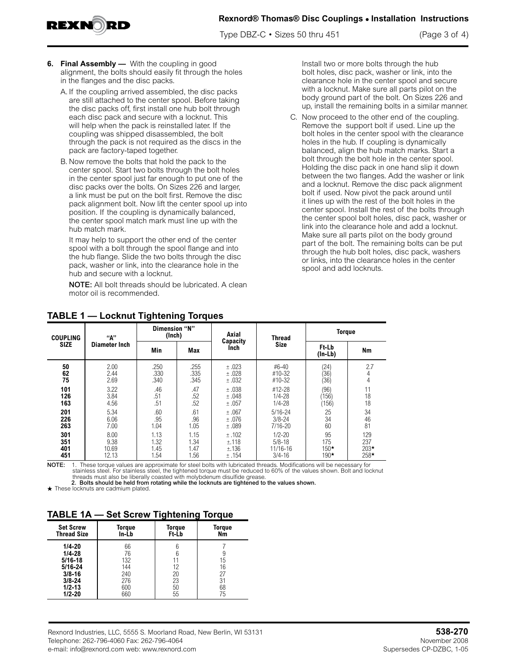**Rexnord® Thomas® Disc Couplings • Installation Instructions**

Type DBZ-C • Sizes 50 thru 451 (Page 3 of 4)

**6. Final Assembly —** With the coupling in good alignment, the bolts should easily fit through the holes in the flanges and the disc packs.

EXN

- A. If the coupling arrived assembled, the disc packs are still attached to the center spool. Before taking the disc packs off, first install one hub bolt through each disc pack and secure with a locknut. This will help when the pack is reinstalled later. If the coupling was shipped disassembled, the bolt through the pack is not required as the discs in the pack are factory-taped together.
- B. Now remove the bolts that hold the pack to the center spool. Start two bolts through the bolt holes in the center spool just far enough to put one of the disc packs over the bolts. On Sizes 226 and larger, a link must be put on the bolt first. Remove the disc pack alignment bolt. Now lift the center spool up into position. If the coupling is dynamically balanced, the center spool match mark must line up with the hub match mark.

It may help to support the other end of the center spool with a bolt through the spool flange and into the hub flange. Slide the two bolts through the disc pack, washer or link, into the clearance hole in the hub and secure with a locknut.

NOTE: All bolt threads should be lubricated. A clean motor oil is recommended.

Install two or more bolts through the hub bolt holes, disc pack, washer or link, into the clearance hole in the center spool and secure with a locknut. Make sure all parts pilot on the body ground part of the bolt. On Sizes 226 and up, install the remaining bolts in a similar manner.

C. Now proceed to the other end of the coupling. Remove the support bolt if used. Line up the bolt holes in the center spool with the clearance holes in the hub. If coupling is dynamically balanced, align the hub match marks. Start a bolt through the bolt hole in the center spool. Holding the disc pack in one hand slip it down between the two flanges. Add the washer or link and a locknut. Remove the disc pack alignment bolt if used. Now pivot the pack around until it lines up with the rest of the bolt holes in the center spool. Install the rest of the bolts through the center spool bolt holes, disc pack, washer or link into the clearance hole and add a locknut. Make sure all parts pilot on the body ground part of the bolt. The remaining bolts can be put through the hub bolt holes, disc pack, washers or links, into the clearance holes in the center spool and add locknuts.

| <b>COUPLING</b><br><b>SIZE</b> | "А"                            | Dimension "N"<br>(Inch)                                                                          |      | Axial                                              | <b>Thread</b>                 | <b>Torque</b>                  |     |  |
|--------------------------------|--------------------------------|--------------------------------------------------------------------------------------------------|------|----------------------------------------------------|-------------------------------|--------------------------------|-----|--|
|                                | Diameter Inch                  | Min                                                                                              | Max  | Capacity<br>Inch                                   | <b>Size</b>                   | <b>Ft-Lb</b><br>(In-Lb)        | Nm  |  |
| 50                             | 2.00                           | .250                                                                                             | .255 | ±.023                                              | #6-40                         | (24)                           | 2.7 |  |
| 62                             | 2.44                           | .330                                                                                             | .335 | ±.028                                              | #10-32                        | (36)                           | 4   |  |
| 75                             | 2.69                           | .340                                                                                             | .345 | ±.032                                              | #10-32                        | (36)                           | 4   |  |
| 101                            | 3.22                           | .46                                                                                              | .47  | ±.038                                              | #12-28                        | (96)                           | 11  |  |
| 126                            | 3.84                           | .51                                                                                              | .52  | ±.048                                              | $1/4 - 28$                    | 156                            | 18  |  |
| 163                            | 4.56                           | .51                                                                                              | .52  | ±.057                                              | $1/4 - 28$                    | 156)                           | 18  |  |
| 201                            | 5.34                           | .60                                                                                              | .61  | ±.067                                              | $5/16 - 24$                   |                                | 34  |  |
| 226                            | 6.06                           | .95                                                                                              | .96  | ±.076                                              | $3/8 - 24$                    |                                | 46  |  |
| 263                            | 7.00                           | 1.04                                                                                             | 1.05 | ±.089                                              | $7/16 - 20$                   |                                | 81  |  |
| 301<br>351<br>401<br>451       | 8.00<br>9.38<br>10.69<br>12.13 | 1.13<br>1.15<br>±.102<br>1.32<br>1.34<br>±.118<br>1.45<br>±.136<br>1.47<br>1.54<br>1.56<br>±.154 |      | $1/2 - 20$<br>$5/8 - 18$<br>11/16-16<br>$3/4 - 16$ | 95<br>175<br>$150*$<br>$190*$ | 129<br>237<br>$203*$<br>$258*$ |     |  |

## **TABLE 1 — Locknut Tightening Torques**

NOTE: 1. These torque values are approximate for steel bolts with lubricated threads. Modifications will be necessary for stainless steel. For stainless steel, the tightened torque must be reduced to 60% of the values shown. Bolt and locknut threads must also be liberally coasted with molybdenum disulfide grease.

2. Bolts should be held from rotating while the locknuts are tightened to the values shown.

 $\star$  These locknuts are cadmium plated.

### **TABLE 1A — Set Screw Tightening Torque**

| <b>Set Screw</b><br><b>Thread Size</b>                                                           | Toraue<br>In-Lb                             | Toraue<br>Ft-Lb                      | <b>Torque</b><br>Nm        |  |
|--------------------------------------------------------------------------------------------------|---------------------------------------------|--------------------------------------|----------------------------|--|
| $1/4 - 20$<br>$1/4 - 28$<br>$5/16 - 18$<br>$5/16 - 24$<br>$3/8 - 16$<br>$3/8 - 24$<br>$1/2 - 13$ | 66<br>76<br>132<br>144<br>240<br>276<br>600 | 6<br>6<br>11<br>12<br>20<br>23<br>50 | 15<br>16<br>27<br>31<br>68 |  |
| $1/2 - 20$                                                                                       | 660                                         | 55                                   | 75                         |  |